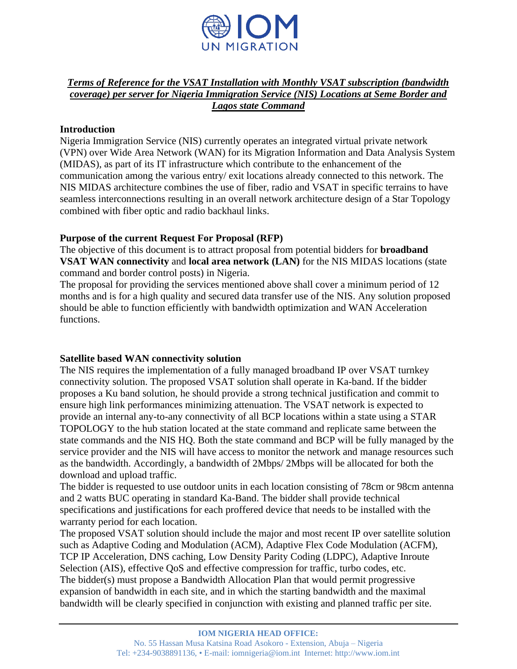

### *Terms of Reference for the VSAT Installation with Monthly VSAT subscription (bandwidth coverage) per server for Nigeria Immigration Service (NIS) Locations at Seme Border and Lagos state Command*

### **Introduction**

Nigeria Immigration Service (NIS) currently operates an integrated virtual private network (VPN) over Wide Area Network (WAN) for its Migration Information and Data Analysis System (MIDAS), as part of its IT infrastructure which contribute to the enhancement of the communication among the various entry/ exit locations already connected to this network. The NIS MIDAS architecture combines the use of fiber, radio and VSAT in specific terrains to have seamless interconnections resulting in an overall network architecture design of a Star Topology combined with fiber optic and radio backhaul links.

### **Purpose of the current Request For Proposal (RFP)**

The objective of this document is to attract proposal from potential bidders for **broadband VSAT WAN connectivity** and **local area network (LAN)** for the NIS MIDAS locations (state command and border control posts) in Nigeria.

The proposal for providing the services mentioned above shall cover a minimum period of 12 months and is for a high quality and secured data transfer use of the NIS. Any solution proposed should be able to function efficiently with bandwidth optimization and WAN Acceleration functions.

# **Satellite based WAN connectivity solution**

The NIS requires the implementation of a fully managed broadband IP over VSAT turnkey connectivity solution. The proposed VSAT solution shall operate in Ka-band. If the bidder proposes a Ku band solution, he should provide a strong technical justification and commit to ensure high link performances minimizing attenuation. The VSAT network is expected to provide an internal any-to-any connectivity of all BCP locations within a state using a STAR TOPOLOGY to the hub station located at the state command and replicate same between the state commands and the NIS HQ. Both the state command and BCP will be fully managed by the service provider and the NIS will have access to monitor the network and manage resources such as the bandwidth. Accordingly, a bandwidth of 2Mbps/ 2Mbps will be allocated for both the download and upload traffic.

The bidder is requested to use outdoor units in each location consisting of 78cm or 98cm antenna and 2 watts BUC operating in standard Ka-Band. The bidder shall provide technical specifications and justifications for each proffered device that needs to be installed with the warranty period for each location.

The proposed VSAT solution should include the major and most recent IP over satellite solution such as Adaptive Coding and Modulation (ACM), Adaptive Flex Code Modulation (ACFM), TCP IP Acceleration, DNS caching, Low Density Parity Coding (LDPC), Adaptive Inroute Selection (AIS), effective QoS and effective compression for traffic, turbo codes, etc. The bidder(s) must propose a Bandwidth Allocation Plan that would permit progressive expansion of bandwidth in each site, and in which the starting bandwidth and the maximal bandwidth will be clearly specified in conjunction with existing and planned traffic per site.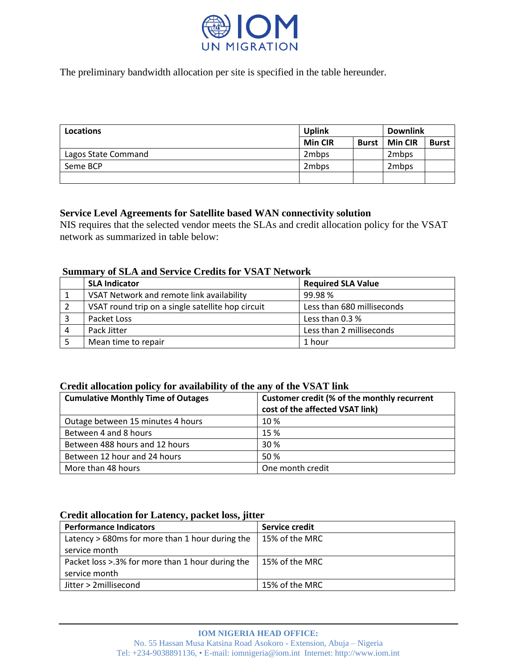

The preliminary bandwidth allocation per site is specified in the table hereunder.

| Locations           | <b>Uplink</b>  |              | <b>Downlink</b> |              |
|---------------------|----------------|--------------|-----------------|--------------|
|                     | <b>Min CIR</b> | <b>Burst</b> | <b>Min CIR</b>  | <b>Burst</b> |
| Lagos State Command | 2mbps          |              | 2mbps           |              |
| Seme BCP            | 2mbps          |              | 2mbps           |              |
|                     |                |              |                 |              |

### **Service Level Agreements for Satellite based WAN connectivity solution**

NIS requires that the selected vendor meets the SLAs and credit allocation policy for the VSAT network as summarized in table below:

### **Summary of SLA and Service Credits for VSAT Network**

|   | <b>SLA Indicator</b>                              | <b>Required SLA Value</b>  |
|---|---------------------------------------------------|----------------------------|
|   | VSAT Network and remote link availability         | 99.98%                     |
|   | VSAT round trip on a single satellite hop circuit | Less than 680 milliseconds |
|   | Packet Loss                                       | Less than 0.3 %            |
| 4 | Pack Jitter                                       | Less than 2 milliseconds   |
|   | Mean time to repair                               | 1 hour                     |

#### **Credit allocation policy for availability of the any of the VSAT link**

| <b>Cumulative Monthly Time of Outages</b> | Customer credit (% of the monthly recurrent<br>cost of the affected VSAT link) |
|-------------------------------------------|--------------------------------------------------------------------------------|
| Outage between 15 minutes 4 hours         | 10%                                                                            |
| Between 4 and 8 hours                     | 15 %                                                                           |
| Between 488 hours and 12 hours            | 30%                                                                            |
| Between 12 hour and 24 hours              | 50%                                                                            |
| More than 48 hours                        | One month credit                                                               |

#### **Credit allocation for Latency, packet loss, jitter**

| <b>Performance Indicators</b>                    | Service credit |
|--------------------------------------------------|----------------|
| Latency > 680ms for more than 1 hour during the  | 15% of the MRC |
| service month                                    |                |
| Packet loss >.3% for more than 1 hour during the | 15% of the MRC |
| service month                                    |                |
| Jitter > 2millisecond                            | 15% of the MRC |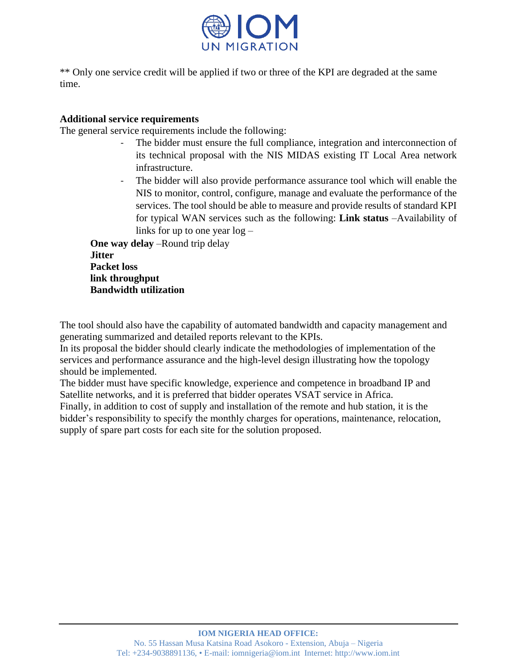

\*\* Only one service credit will be applied if two or three of the KPI are degraded at the same time.

# **Additional service requirements**

The general service requirements include the following:

- The bidder must ensure the full compliance, integration and interconnection of its technical proposal with the NIS MIDAS existing IT Local Area network infrastructure.
- The bidder will also provide performance assurance tool which will enable the NIS to monitor, control, configure, manage and evaluate the performance of the services. The tool should be able to measure and provide results of standard KPI for typical WAN services such as the following: **Link status** –Availability of links for up to one year log –

**One way delay** –Round trip delay **Jitter Packet loss link throughput Bandwidth utilization**

The tool should also have the capability of automated bandwidth and capacity management and generating summarized and detailed reports relevant to the KPIs.

In its proposal the bidder should clearly indicate the methodologies of implementation of the services and performance assurance and the high-level design illustrating how the topology should be implemented.

The bidder must have specific knowledge, experience and competence in broadband IP and Satellite networks, and it is preferred that bidder operates VSAT service in Africa. Finally, in addition to cost of supply and installation of the remote and hub station, it is the bidder's responsibility to specify the monthly charges for operations, maintenance, relocation,

supply of spare part costs for each site for the solution proposed.